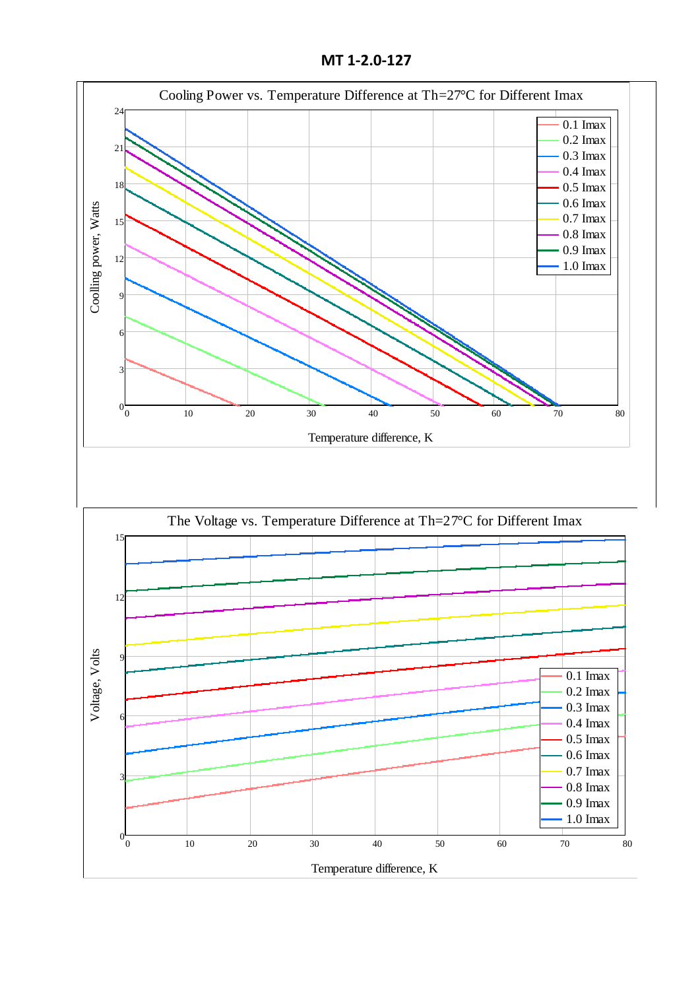**MT 1-2.0-127**